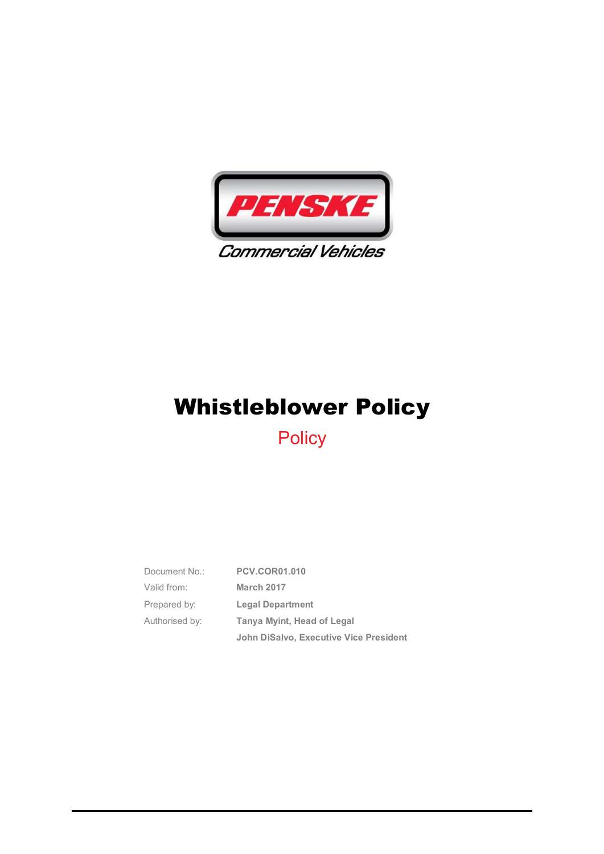

**Policy** 

| Document No.:  | <b>PCV.COR01.010</b>                          |
|----------------|-----------------------------------------------|
| Valid from:    | <b>March 2017</b>                             |
| Prepared by:   | <b>Legal Department</b>                       |
| Authorised by: | Tanya Myint, Head of Legal                    |
|                | <b>John DiSalvo, Executive Vice President</b> |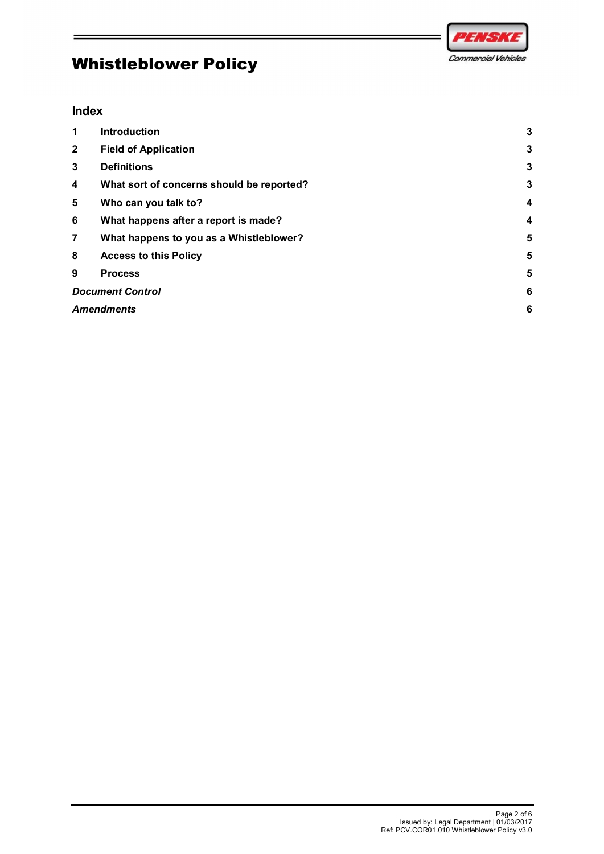



#### Index

|                   |                                           | PENSK               |
|-------------------|-------------------------------------------|---------------------|
|                   | <b>Whistleblower Policy</b>               | Commercial Vehicles |
|                   |                                           |                     |
| <b>Index</b>      |                                           |                     |
| $\mathbf{1}$      | Introduction                              | $\mathbf{3}$        |
| $\mathbf{2}$      | <b>Field of Application</b>               | 3                   |
| 3                 | <b>Definitions</b>                        | 3                   |
| 4                 | What sort of concerns should be reported? | 3                   |
| 5                 | Who can you talk to?                      | 4                   |
| $\bf 6$           | What happens after a report is made?      | 4                   |
| $\overline{7}$    | What happens to you as a Whistleblower?   | 5                   |
| 8                 | <b>Access to this Policy</b>              | 5                   |
| 9                 | <b>Process</b>                            | 5                   |
|                   | <b>Document Control</b>                   | 6                   |
| <b>Amendments</b> |                                           | 6                   |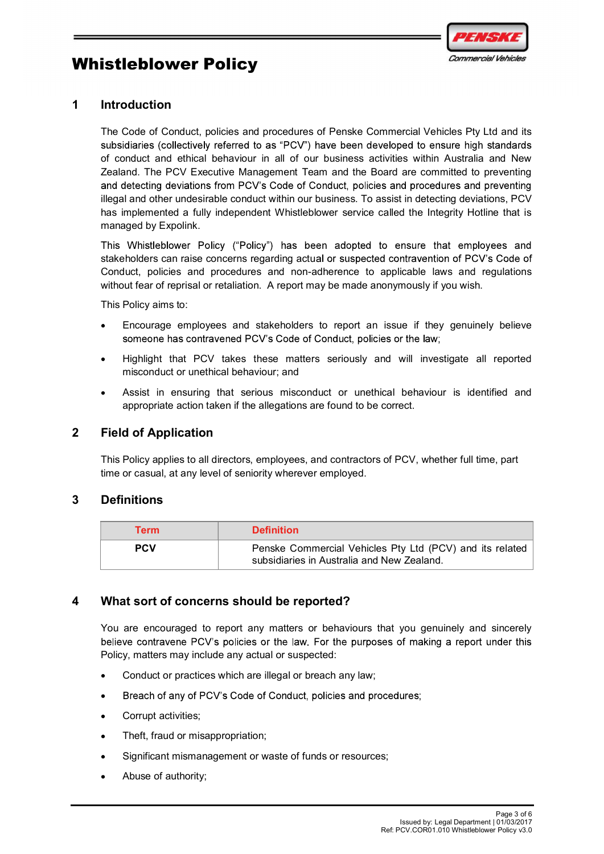



#### 1 Introduction

The Code of Conduct, policies and procedures of Penske Commercial Vehicles Pty Ltd and its subsidiaries (collectively referred to as "PCV") have been developed to ensure high standards of conduct and ethical behaviour in all of our business activities within Australia and New Zealand. The PCV Executive Management Team and the Board are committed to preventing and detecting deviations from PCV's Code of Conduct, policies and procedures and preventing illegal and other undesirable conduct within our business. To assist in detecting deviations, PCV has implemented a fully independent Whistleblower service called the Integrity Hotline that is managed by Expolink.

This Whistleblower Policy ("Policy") has been adopted to ensure that employees and stakeholders can raise concerns regarding actual or suspected contravention of PCV's Code of Conduct, policies and procedures and non-adherence to applicable laws and regulations without fear of reprisal or retaliation. A report may be made anonymously if you wish.

This Policy aims to:

- Encourage employees and stakeholders to report an issue if they genuinely believe
- Highlight that PCV takes these matters seriously and will investigate all reported misconduct or unethical behaviour; and
- Assist in ensuring that serious misconduct or unethical behaviour is identified and appropriate action taken if the allegations are found to be correct.

#### 2 Field of Application

#### 3 Definitions

|                                   | Highlight that PCV takes these matters seriously and will investigate all reported<br>misconduct or unethical behaviour; and                                |  |  |  |
|-----------------------------------|-------------------------------------------------------------------------------------------------------------------------------------------------------------|--|--|--|
|                                   | Assist in ensuring that serious misconduct or unethical behaviour is identified and<br>appropriate action taken if the allegations are found to be correct. |  |  |  |
| <b>Field of Application</b>       |                                                                                                                                                             |  |  |  |
| <b>Definitions</b><br><b>Term</b> | <b>Definition</b>                                                                                                                                           |  |  |  |
|                                   |                                                                                                                                                             |  |  |  |
| <b>PCV</b>                        | Penske Commercial Vehicles Pty Ltd (PCV) and its related<br>subsidiaries in Australia and New Zealand.                                                      |  |  |  |
|                                   |                                                                                                                                                             |  |  |  |

- Conduct or practices which are illegal or breach any law;
- Breach of any of PCV's Code of Conduct, policies and procedures;
- Corrupt activities;
- Theft, fraud or misappropriation;
- Significant mismanagement or waste of funds or resources;
- Abuse of authority;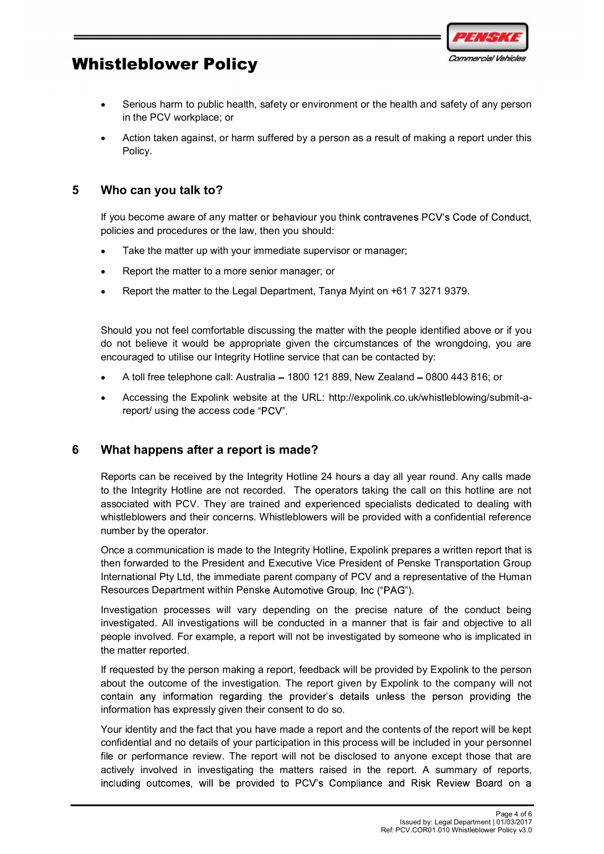

- Serious harm to public health, safety or environment or the health and safety of any person in the PCV workplace; or Whistleblower Policy<br>
Serious harm to public health, safety or environment or the health and<br>
in the PCV workplace; or<br>
Action taken against, or harm suffered by a person as a result of mak<br>
Policy.<br>
Sumplement and procedu
	- Action taken against, or harm suffered by a person as a result of making a report under this Policy.

If you become aware of any matter or behaviour you think contravenes PCV's Code of Conduct, policies and procedures or the law, then you should:

- Take the matter up with your immediate supervisor or manager;
- Report the matter to a more senior manager; or
- Report the matter to the Legal Department, Tanya Myint on +61 7 3271 9379.

Should you not feel comfortable discussing the matter with the people identified above or if you do not believe it would be appropriate given the circumstances of the wrongdoing, you are encouraged to utilise our Integrity Hotline service that can be contacted by:

- A toll free telephone call: Australia  $-1800$  121 889, New Zealand  $-0800$  443 816; or
- Accessing the Expolink website at the URL: http://expolink.co.uk/whistleblowing/submit-areport/ using the access code "PCV".

#### 6 What happens after a report is made?

Reports can be received by the Integrity Hotline 24 hours a day all year round. Any calls made to the Integrity Hotline are not recorded. The operators taking the call on this hotline are not associated with PCV. They are trained and experienced specialists dedicated to dealing with whistleblowers and their concerns. Whistleblowers will be provided with a confidential reference number by the operator.

Once a communication is made to the Integrity Hotline, Expolink prepares a written report that is then forwarded to the President and Executive Vice President of Penske Transportation Group International Pty Ltd, the immediate parent company of PCV and a representative of the Human Resources Department within Penske Automotive Group, Inc ("PAG").

Investigation processes will vary depending on the precise nature of the conduct being investigated. All investigations will be conducted in a manner that is fair and objective to all people involved. For example, a report will not be investigated by someone who is implicated in the matter reported.

If requested by the person making a report, feedback will be provided by Expolink to the person about the outcome of the investigation. The report given by Expolink to the company will not contain any information regarding the provider's details unless the person providing the information has expressly given their consent to do so.

Your identity and the fact that you have made a report and the contents of the report will be kept confidential and no details of your participation in this process will be included in your personnel file or performance review. The report will not be disclosed to anyone except those that are actively involved in investigating the matters raised in the report. A summary of reports, including outcomes, will be provided to PCV's Compliance and Risk Review Board on a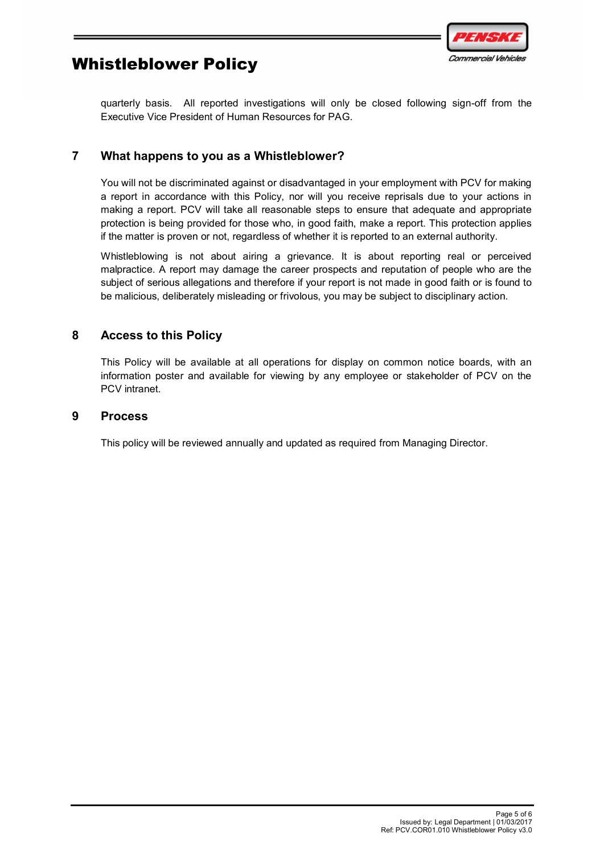

quarterly basis. All reported investigations will only be closed following sign-off from the Executive Vice President of Human Resources for PAG.

### 7 What happens to you as a Whistleblower?

You will not be discriminated against or disadvantaged in your employment with PCV for making a report in accordance with this Policy, nor will you receive reprisals due to your actions in making a report. PCV will take all reasonable steps to ensure that adequate and appropriate protection is being provided for those who, in good faith, make a report. This protection applies if the matter is proven or not, regardless of whether it is reported to an external authority.

Whistleblowing is not about airing a grievance. It is about reporting real or perceived malpractice. A report may damage the career prospects and reputation of people who are the subject of serious allegations and therefore if your report is not made in good faith or is found to be malicious, deliberately misleading or frivolous, you may be subject to disciplinary action.

#### 8 Access to this Policy

This Policy will be available at all operations for display on common notice boards, with an information poster and available for viewing by any employee or stakeholder of PCV on the PCV intranet.

#### 9 Process

This policy will be reviewed annually and updated as required from Managing Director.